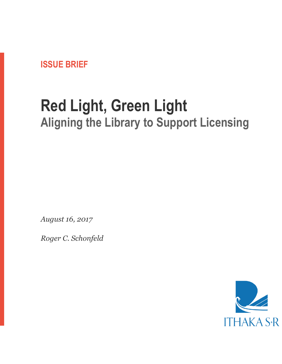

# **Red Light, Green Light Aligning the Library to Support Licensing**

*August 16, 2017*

*Roger C. Schonfeld*

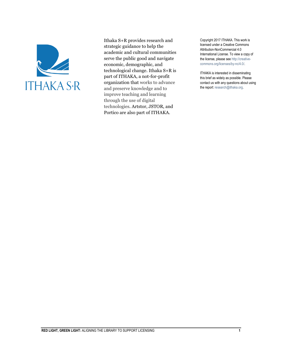

Ithaka S+R provides research and strategic guidance to help the academic and cultural communities serve the public good and navigate economic, demographic, and technological change. Ithaka S+R is part of ITHAKA, a not-for-profit organization that works to advance and preserve knowledge and to improve teaching and learning through the use of digital technologies. Artstor, JSTOR, and Portico are also part of ITHAKA.

Copyright 2017 ITHAKA. This work is licensed under a Creative Commons Attribution-NonCommercial 4.0 International License. To view a copy of the license, please see http://creativecommons.org/licenses/by-nc/4.0/.

ITHAKA is interested in disseminating this brief as widely as possible. Please contact us with any questions about using the report: research@ithaka.org.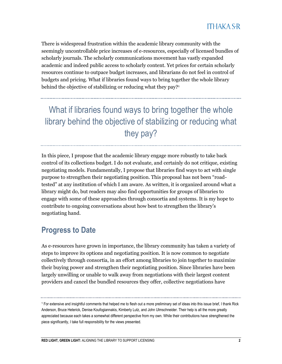There is widespread frustration within the academic library community with the seemingly uncontrollable price increases of e-resources, especially of licensed bundles of scholarly journals. The scholarly communications movement has vastly expanded academic and indeed public access to scholarly content. Yet prices for certain scholarly resources continue to outpace budget increases, and librarians do not feel in control of budgets and pricing. What if libraries found ways to bring together the whole library behind the objective of stabilizing or reducing what they pay?<sup>1</sup>

What if libraries found ways to bring together the whole library behind the objective of stabilizing or reducing what they pay?

In this piece, I propose that the academic library engage more robustly to take back control of its collections budget. I do not evaluate, and certainly do not critique, existing negotiating models. Fundamentally, I propose that libraries find ways to act with single purpose to strengthen their negotiating position. This proposal has not been "roadtested" at any institution of which I am aware. As written, it is organized around what a library might do, but readers may also find opportunities for groups of libraries to engage with some of these approaches through consortia and systems. It is my hope to contribute to ongoing conversations about how best to strengthen the library's negotiating hand.

#### **Progress to Date**

As e-resources have grown in importance, the library community has taken a variety of steps to improve its options and negotiating position. It is now common to negotiate collectively through consortia, in an effort among libraries to join together to maximize their buying power and strengthen their negotiating position. Since libraries have been largely unwilling or unable to walk away from negotiations with their largest content providers and cancel the bundled resources they offer, collective negotiations have

<sup>1</sup> For extensive and insightful comments that helped me to flesh out a more preliminary set of ideas into this issue brief, I thank Rick Anderson, Bruce Heterick, Denise Koufogiannakis, Kimberly Lutz, and John Ulmschneider. Their help is all the more greatly appreciated because each takes a somewhat different perspective from my own. While their contributions have strengthened the piece significantly, I take full responsibility for the views presented.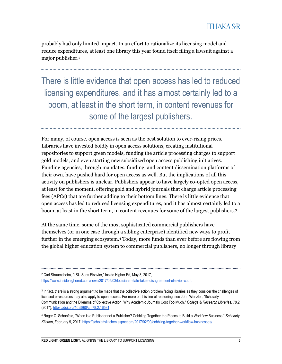probably had only limited impact. In an effort to rationalize its licensing model and reduce expenditures, at least one library this year found itself filing a lawsuit against a major publisher.<sup>2</sup>

There is little evidence that open access has led to reduced licensing expenditures, and it has almost certainly led to a boom, at least in the short term, in content revenues for some of the largest publishers.

For many, of course, open access is seen as the best solution to ever-rising prices. Libraries have invested boldly in open access solutions, creating institutional repositories to support green models, funding the article processing charges to support gold models, and even starting new subsidized open access publishing initiatives. Funding agencies, through mandates, funding, and content dissemination platforms of their own, have pushed hard for open access as well. But the implications of all this activity on publishers is unclear. Publishers appear to have largely co-opted open access, at least for the moment, offering gold and hybrid journals that charge article processing fees (APCs) that are further adding to their bottom lines. There is little evidence that open access has led to reduced licensing expenditures, and it has almost certainly led to a boom, at least in the short term, in content revenues for some of the largest publishers.<sup>3</sup>

At the same time, some of the most sophisticated commercial publishers have themselves (or in one case through a sibling enterprise) identified new ways to profit further in the emerging ecosystem.<sup>4</sup> Today, more funds than ever before are flowing from the global higher education system to commercial publishers, no longer through library

<sup>2</sup> Carl Straumsheim, "LSU Sues Elsevier," Inside Higher Ed, May 3, 2017, [https://www.insidehighered.com/news/2017/05/03/louisiana-state-takes-disagreement-elsevier-court.](https://www.insidehighered.com/news/2017/05/03/louisiana-state-takes-disagreement-elsevier-court)

<sup>&</sup>lt;sup>3</sup> In fact, there is a strong argument to be made that the collective action problem facing libraries as they consider the challenges of licensed e-resources may also apply to open access. For more on this line of reasoning, see John Wenzler, "Scholarly Communication and the Dilemma of Collective Action: Why Academic Journals Cost Too Much," *College & Research Libraries*, 78.2 (2017)[, https://doi.org/10.5860/crl.78.2.16581.](https://doi.org/10.5860/crl.78.2.16581) 

<sup>4</sup> Roger C. Schonfeld, "When is a Publisher not a Publisher? Cobbling Together the Pieces to Build a Workflow Business," *Scholarly Kitchen*, February 9, 2017, [https://scholarlykitchen.sspnet.org/2017/02/09/cobbling-together-workflow-businesses/.](https://scholarlykitchen.sspnet.org/2017/02/09/cobbling-together-workflow-businesses/)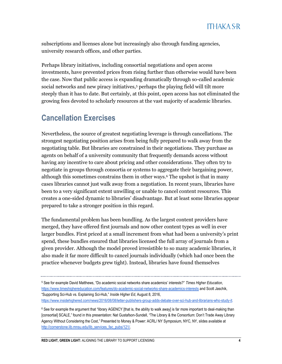subscriptions and licenses alone but increasingly also through funding agencies, university research offices, and other parties.

Perhaps library initiatives, including consortial negotiations and open access investments, have prevented prices from rising further than otherwise would have been the case. Now that public access is expanding dramatically through so-called academic social networks and new piracy initiatives,<sup>5</sup> perhaps the playing field will tilt more steeply than it has to date. But certainly, at this point, open access has not eliminated the growing fees devoted to scholarly resources at the vast majority of academic libraries.

# **Cancellation Exercises**

Nevertheless, the source of greatest negotiating leverage is through cancellations. The strongest negotiating position arises from being fully prepared to walk away from the negotiating table. But libraries are constrained in their negotiations. They purchase as agents on behalf of a university community that frequently demands access without having any incentive to care about pricing and other considerations. They often try to negotiate in groups through consortia or systems to aggregate their bargaining power, although this sometimes constrains them in other ways.<sup>6</sup> The upshot is that in many cases libraries cannot just walk away from a negotiation. In recent years, libraries have been to a very significant extent unwilling or unable to cancel content resources. This creates a one-sided dynamic to libraries' disadvantage. But at least some libraries appear prepared to take a stronger position in this regard.

The fundamental problem has been bundling. As the largest content providers have merged, they have offered first journals and now other content types as well in ever larger bundles. First priced at a small increment from what had been a university's print spend, these bundles ensured that libraries licensed the full array of journals from a given provider. Although the model proved irresistible to so many academic libraries, it also made it far more difficult to cancel journals individually (which had once been the practice whenever budgets grew tight). Instead, libraries have found themselves

5 See for example David Matthews, "Do academic social networks share academics' interests?" *Times Higher Education*, [https://www.timeshighereducation.com/features/do-academic-social-networks-share-academics-interests a](https://www.timeshighereducation.com/features/do-academic-social-networks-share-academics-interests)nd Scott Jaschik, "Supporting Sci-Hub vs. Explaining Sci-Hub," *Inside Higher Ed*, August 8, 2016, [https://www.insidehighered.com/news/2016/08/08/letter-publishers-group-adds-debate-over-sci-hub-and-librarians-who-study-it.](https://www.insidehighered.com/news/2016/08/08/letter-publishers-group-adds-debate-over-sci-hub-and-librarians-who-study-it)

 $6$  See for example the argument that "library AGENCY [that is, the ability to walk away] is far more important to deal-making than [consortial] SCALE," found in this presentation: Nat Gustafson-Sundell, "The Library & the Consortium: Don't Trade Away Library Agency Without Considering the Cost," Presented to Money & Power: ACRL/ NY Symposium, NYC, NY, slides available at [http://cornerstone.lib.mnsu.edu/lib\\_services\\_fac\\_pubs/121/.](http://cornerstone.lib.mnsu.edu/lib_services_fac_pubs/121/)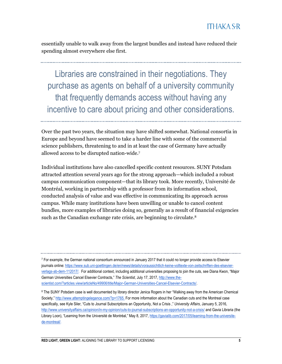essentially unable to walk away from the largest bundles and instead have reduced their spending almost everywhere else first.

Libraries are constrained in their negotiations. They purchase as agents on behalf of a university community that frequently demands access without having any incentive to care about pricing and other considerations.

Over the past two years, the situation may have shifted somewhat. National consortia in Europe and beyond have seemed to take a harder line with some of the commercial science publishers, threatening to and in at least the case of Germany have actually allowed access to be disrupted nation-wide.<sup>7</sup>

Individual institutions have also cancelled specific content resources. SUNY Potsdam attracted attention several years ago for the strong approach—which included a robust campus communication component—that its library took. More recently, Université de Montréal, working in partnership with a professor from its information school, conducted analysis of value and was effective in communicating its approach across campus. While many institutions have been unwilling or unable to cancel content bundles, more examples of libraries doing so, generally as a result of financial exigencies such as the Canadian exchange rate crisis, are beginning to circulate.<sup>8</sup>

<sup>7</sup> For example, the German national consortium announced in January 2017 that it could no longer provide access to Elsevier journals online[: https://www.sub.uni-goettingen.de/en/news/details/voraussichtlich-keine-volltexte-von-zeitschriften-des-elsevier](https://www.sub.uni-goettingen.de/en/news/details/voraussichtlich-keine-volltexte-von-zeitschriften-des-elsevier-verlags-ab-dem-112017/)[verlags-ab-dem-112017/.](https://www.sub.uni-goettingen.de/en/news/details/voraussichtlich-keine-volltexte-von-zeitschriften-des-elsevier-verlags-ab-dem-112017/) For additional context, including additional universities proposing to join the cuts, see Diana Kwon, "Major German Universities Cancel Elsevier Contracts," *The Scientist*, July 17, 2017[, http://www.the](http://www.the-scientist.com/?articles.view/articleNo/49906/title/Major-German-Universities-Cancel-Elsevier-Contracts/)[scientist.com/?articles.view/articleNo/49906/title/Major-German-Universities-Cancel-Elsevier-Contracts/.](http://www.the-scientist.com/?articles.view/articleNo/49906/title/Major-German-Universities-Cancel-Elsevier-Contracts/)

<sup>&</sup>lt;sup>8</sup> The SUNY Potsdam case is well documented by library director Jenica Rogers in her "Walking away from the American Chemical Society," [http://www.attemptingelegance.com/?p=1765.](http://www.attemptingelegance.com/?p=1765) For more information about the Canadian cuts and the Montreal case specifically, see Kyle Siler, "Cuts to Journal Subscriptions an Opportunity, Not a Crisis ," *University Affairs*, January 5, 2016, <http://www.universityaffairs.ca/opinion/in-my-opinion/cuts-to-journal-subscriptions-an-opportunity-not-a-crisis/> and Gavia Libraria (the Library Loon), "Learning from the Université de Montréal," May 8, 2017, [https://gavialib.com/2017/05/learning-from-the-universite](https://gavialib.com/2017/05/learning-from-the-universite-de-montreal/)[de-montreal/.](https://gavialib.com/2017/05/learning-from-the-universite-de-montreal/)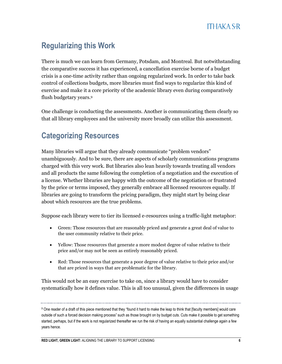# **Regularizing this Work**

There is much we can learn from Germany, Potsdam, and Montreal. But notwithstanding the comparative success it has experienced, a cancellation exercise borne of a budget crisis is a one-time activity rather than ongoing regularized work. In order to take back control of collections budgets, more libraries must find ways to regularize this kind of exercise and make it a core priority of the academic library even during comparatively flush budgetary years.<sup>9</sup>

One challenge is conducting the assessments. Another is communicating them clearly so that all library employees and the university more broadly can utilize this assessment.

# **Categorizing Resources**

Many libraries will argue that they already communicate "problem vendors" unambiguously. And to be sure, there are aspects of scholarly communications programs charged with this very work. But libraries also lean heavily towards treating all vendors and all products the same following the completion of a negotiation and the execution of a license. Whether libraries are happy with the outcome of the negotiation or frustrated by the price or terms imposed, they generally embrace all licensed resources equally. If libraries are going to transform the pricing paradigm, they might start by being clear about which resources are the true problems.

Suppose each library were to tier its licensed e-resources using a traffic-light metaphor:

- Green: Those resources that are reasonably priced and generate a great deal of value to the user community relative to their price.
- Yellow: Those resources that generate a more modest degree of value relative to their price and/or may not be seen as entirely reasonably priced.
- Red: Those resources that generate a poor degree of value relative to their price and/or that are priced in ways that are problematic for the library.

This would not be an easy exercise to take on, since a library would have to consider systematically how it defines value. This is all too unusual, given the differences in usage

<sup>9</sup> One reader of a draft of this piece mentioned that they "found it hard to make the leap to think that [faculty members] would care outside of such a forced decision making process" such as those brought on by budget cuts. Cuts make it possible to get something started, perhaps, but if the work is not regularized thereafter we run the risk of having an equally substantial challenge again a few years hence.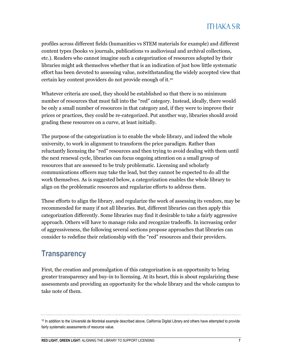profiles across different fields (humanities vs STEM materials for example) and different content types (books vs journals, publications vs audiovisual and archival collections, etc.). Readers who cannot imagine such a categorization of resources adopted by their libraries might ask themselves whether that is an indication of just how little systematic effort has been devoted to assessing value, notwithstanding the widely accepted view that certain key content providers do not provide enough of it.<sup>10</sup>

Whatever criteria are used, they should be established so that there is no minimum number of resources that must fall into the "red" category. Instead, ideally, there would be only a small number of resources in that category and, if they were to improve their prices or practices, they could be re-categorized. Put another way, libraries should avoid grading these resources on a curve, at least initially.

The purpose of the categorization is to enable the whole library, and indeed the whole university, to work in alignment to transform the price paradigm. Rather than reluctantly licensing the "red" resources and then trying to avoid dealing with them until the next renewal cycle, libraries can focus ongoing attention on a small group of resources that are assessed to be truly problematic. Licensing and scholarly communications officers may take the lead, but they cannot be expected to do all the work themselves. As is suggested below, a categorization enables the whole library to align on the problematic resources and regularize efforts to address them.

These efforts to align the library, and regularize the work of assessing its vendors, may be recommended for many if not all libraries. But, different libraries can then apply this categorization differently. Some libraries may find it desirable to take a fairly aggressive approach. Others will have to manage risks and recognize tradeoffs. In increasing order of aggressiveness, the following several sections propose approaches that libraries can consider to redefine their relationship with the "red" resources and their providers.

#### **Transparency**

First, the creation and promulgation of this categorization is an opportunity to bring greater transparency and buy-in to licensing. At its heart, this is about regularizing these assessments and providing an opportunity for the whole library and the whole campus to take note of them.

<sup>&</sup>lt;sup>10</sup> In addition to the Université de Montréal example described above, California Digital Library and others have attempted to provide fairly systematic assessments of resource value.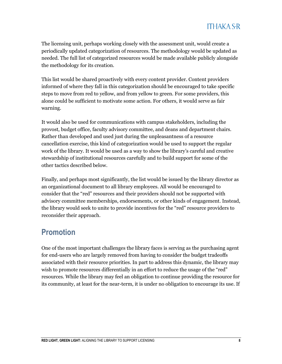The licensing unit, perhaps working closely with the assessment unit, would create a periodically updated categorization of resources. The methodology would be updated as needed. The full list of categorized resources would be made available publicly alongside the methodology for its creation.

This list would be shared proactively with every content provider. Content providers informed of where they fall in this categorization should be encouraged to take specific steps to move from red to yellow, and from yellow to green. For some providers, this alone could be sufficient to motivate some action. For others, it would serve as fair warning.

It would also be used for communications with campus stakeholders, including the provost, budget office, faculty advisory committee, and deans and department chairs. Rather than developed and used just during the unpleasantness of a resource cancellation exercise, this kind of categorization would be used to support the regular work of the library. It would be used as a way to show the library's careful and creative stewardship of institutional resources carefully and to build support for some of the other tactics described below.

Finally, and perhaps most significantly, the list would be issued by the library director as an organizational document to all library employees. All would be encouraged to consider that the "red" resources and their providers should not be supported with advisory committee memberships, endorsements, or other kinds of engagement. Instead, the library would seek to unite to provide incentives for the "red" resource providers to reconsider their approach.

#### **Promotion**

One of the most important challenges the library faces is serving as the purchasing agent for end-users who are largely removed from having to consider the budget tradeoffs associated with their resource priorities. In part to address this dynamic, the library may wish to promote resources differentially in an effort to reduce the usage of the "red" resources. While the library may feel an obligation to continue providing the resource for its community, at least for the near-term, it is under no obligation to encourage its use. If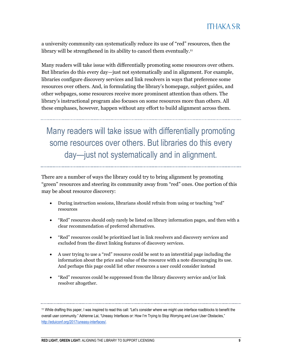a university community can systematically reduce its use of "red" resources, then the library will be strengthened in its ability to cancel them eventually.<sup>11</sup>

Many readers will take issue with differentially promoting some resources over others. But libraries do this every day—just not systematically and in alignment. For example, libraries configure discovery services and link resolvers in ways that preference some resources over others. And, in formulating the library's homepage, subject guides, and other webpages, some resources receive more prominent attention than others. The library's instructional program also focuses on some resources more than others. All these emphases, however, happen without any effort to build alignment across them.

Many readers will take issue with differentially promoting some resources over others. But libraries do this every day—just not systematically and in alignment.

There are a number of ways the library could try to bring alignment by promoting "green" resources and steering its community away from "red" ones. One portion of this may be about resource discovery:

- During instruction sessions, librarians should refrain from using or teaching "red" resources
- "Red" resources should only rarely be listed on library information pages, and then with a clear recommendation of preferred alternatives.
- "Red" resources could be prioritized last in link resolvers and discovery services and excluded from the direct linking features of discovery services.
- A user trying to use a "red" resource could be sent to an interstitial page including the information about the price and value of the resource with a note discouraging its use. And perhaps this page could list other resources a user could consider instead
- "Red" resources could be suppressed from the library discovery service and/or link resolver altogether.

<sup>11</sup> While drafting this paper, I was inspired to read this call: "Let's consider where we might use interface roadblocks to benefit the overall user community." Adrienne Lai, "Uneasy Interfaces or: How I'm Trying to Stop Worrying and Love User Obstacles," [http://eduiconf.org/2017/uneasy-interfaces/.](http://eduiconf.org/2017/uneasy-interfaces/)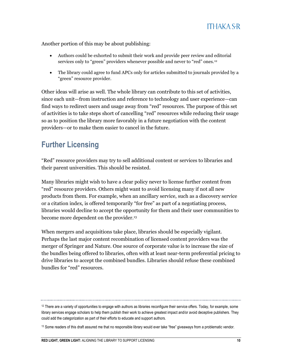Another portion of this may be about publishing:

- Authors could be exhorted to submit their work and provide peer review and editorial services only to "green" providers whenever possible and never to "red" ones.<sup>12</sup>
- The library could agree to fund APCs only for articles submitted to journals provided by a "green" resource provider.

Other ideas will arise as well. The whole library can contribute to this set of activities, since each unit—from instruction and reference to technology and user experience—can find ways to redirect users and usage away from "red" resources. The purpose of this set of activities is to take steps short of cancelling "red" resources while reducing their usage so as to position the library more favorably in a future negotiation with the content providers—or to make them easier to cancel in the future.

#### **Further Licensing**

"Red" resource providers may try to sell additional content or services to libraries and their parent universities. This should be resisted.

Many libraries might wish to have a clear policy never to license further content from "red" resource providers. Others might want to avoid licensing many if not all new products from them. For example, when an ancillary service, such as a discovery service or a citation index, is offered temporarily "for free" as part of a negotiating process, libraries would decline to accept the opportunity for them and their user communities to become more dependent on the provider.<sup>13</sup>

When mergers and acquisitions take place, libraries should be especially vigilant. Perhaps the last major content recombination of licensed content providers was the merger of Springer and Nature. One source of corporate value is to increase the size of the bundles being offered to libraries, often with at least near-term preferential pricing to drive libraries to accept the combined bundles. Libraries should refuse these combined bundles for "red" resources.

 $12$  There are a variety of opportunities to engage with authors as libraries reconfigure their service offers. Today, for example, some library services engage scholars to help them publish their work to achieve greatest impact and/or avoid deceptive publishers. They could add the categorization as part of their efforts to educate and support authors.

<sup>&</sup>lt;sup>13</sup> Some readers of this draft assured me that no responsible library would ever take "free" giveaways from a problematic vendor.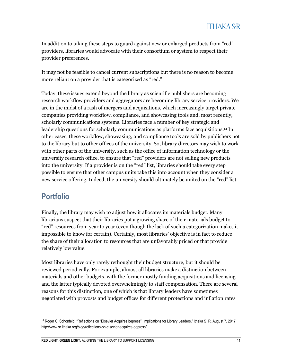In addition to taking these steps to guard against new or enlarged products from "red" providers, libraries would advocate with their consortium or system to respect their provider preferences.

It may not be feasible to cancel current subscriptions but there is no reason to become more reliant on a provider that is categorized as "red."

Today, these issues extend beyond the library as scientific publishers are becoming research workflow providers and aggregators are becoming library service providers. We are in the midst of a rash of mergers and acquisitions, which increasingly target private companies providing workflow, compliance, and showcasing tools and, most recently, scholarly communications systems. Libraries face a number of key strategic and leadership questions for scholarly communications as platforms face acquisitions. <sup>14</sup> In other cases, these workflow, showcasing, and compliance tools are sold by publishers not to the library but to other offices of the university. So, library directors may wish to work with other parts of the university, such as the office of information technology or the university research office, to ensure that "red" providers are not selling new products into the university. If a provider is on the "red" list, libraries should take every step possible to ensure that other campus units take this into account when they consider a new service offering. Indeed, the university should ultimately be united on the "red" list.

# **Portfolio**

Finally, the library may wish to adjust how it allocates its materials budget. Many librarians suspect that their libraries put a growing share of their materials budget to "red" resources from year to year (even though the lack of such a categorization makes it impossible to know for certain). Certainly, most libraries' objective is in fact to reduce the share of their allocation to resources that are unfavorably priced or that provide relatively low value.

Most libraries have only rarely rethought their budget structure, but it should be reviewed periodically. For example, almost all libraries make a distinction between materials and other budgets, with the former mostly funding acquisitions and licensing and the latter typically devoted overwhelmingly to staff compensation. There are several reasons for this distinction, one of which is that library leaders have sometimes negotiated with provosts and budget offices for different protections and inflation rates

**RED LIGHT, GREEN LIGHT:** ALIGNING THE LIBRARY TO SUPPORT LICENSING **11**

<sup>14</sup> Roger C. Schonfeld, "Reflections on "Elsevier Acquires bepress": Implications for Library Leaders," Ithaka S+R, August 7, 2017, [http://www.sr.ithaka.org/blog/reflections-on-elsevier-acquires-bepress/.](http://www.sr.ithaka.org/blog/reflections-on-elsevier-acquires-bepress/)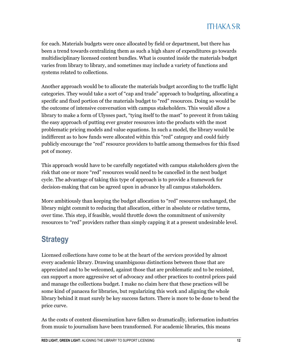for each. Materials budgets were once allocated by field or department, but there has been a trend towards centralizing them as such a high share of expenditures go towards multidisciplinary licensed content bundles. What is counted inside the materials budget varies from library to library, and sometimes may include a variety of functions and systems related to collections.

Another approach would be to allocate the materials budget according to the traffic light categories. They would take a sort of "cap and trade" approach to budgeting, allocating a specific and fixed portion of the materials budget to "red" resources. Doing so would be the outcome of intensive conversation with campus stakeholders. This would allow a library to make a form of Ulysses pact, "tying itself to the mast" to prevent it from taking the easy approach of putting ever greater resources into the products with the most problematic pricing models and value equations. In such a model, the library would be indifferent as to how funds were allocated within this "red" category and could fairly publicly encourage the "red" resource providers to battle among themselves for this fixed pot of money.

This approach would have to be carefully negotiated with campus stakeholders given the risk that one or more "red" resources would need to be cancelled in the next budget cycle. The advantage of taking this type of approach is to provide a framework for decision-making that can be agreed upon in advance by all campus stakeholders.

More ambitiously than keeping the budget allocation to "red" resources unchanged, the library might commit to reducing that allocation, either in absolute or relative terms, over time. This step, if feasible, would throttle down the commitment of university resources to "red" providers rather than simply capping it at a present undesirable level.

# **Strategy**

Licensed collections have come to be at the heart of the services provided by almost every academic library. Drawing unambiguous distinctions between those that are appreciated and to be welcomed, against those that are problematic and to be resisted, can support a more aggressive set of advocacy and other practices to control prices paid and manage the collections budget. I make no claim here that these practices will be some kind of panacea for libraries, but regularizing this work and aligning the whole library behind it must surely be key success factors. There is more to be done to bend the price curve.

As the costs of content dissemination have fallen so dramatically, information industries from music to journalism have been transformed. For academic libraries, this means